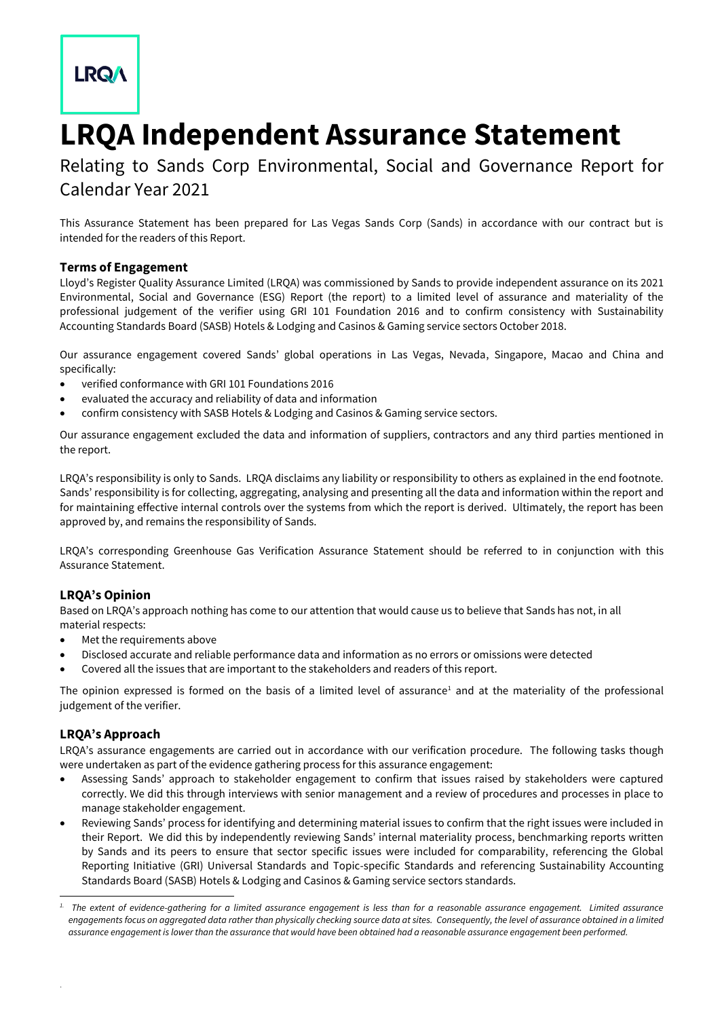# **LRQA**

# **LRQA Independent Assurance Statement**

Relating to Sands Corp Environmental, Social and Governance Report for Calendar Year 2021

This Assurance Statement has been prepared for Las Vegas Sands Corp (Sands) in accordance with our contract but is intended for the readers of this Report.

#### **Terms of Engagement**

Lloyd's Register Quality Assurance Limited (LRQA) was commissioned by Sands to provide independent assurance on its 2021 Environmental, Social and Governance (ESG) Report (the report) to a limited level of assurance and materiality of the professional judgement of the verifier using GRI 101 Foundation 2016 and to confirm consistency with Sustainability Accounting Standards Board (SASB) Hotels & Lodging and Casinos & Gaming service sectors October 2018.

Our assurance engagement covered Sands' global operations in Las Vegas, Nevada, Singapore, Macao and China and specifically:

- verified conformance with GRI 101 Foundations 2016
- evaluated the accuracy and reliability of data and information
- confirm consistency with SASB Hotels & Lodging and Casinos & Gaming service sectors.

Our assurance engagement excluded the data and information of suppliers, contractors and any third parties mentioned in the report.

LRQA's responsibility is only to Sands. LRQA disclaims any liability or responsibility to others as explained in the end footnote. Sands' responsibility is for collecting, aggregating, analysing and presenting all the data and information within the report and for maintaining effective internal controls over the systems from which the report is derived. Ultimately, the report has been approved by, and remains the responsibility of Sands.

LRQA's corresponding Greenhouse Gas Verification Assurance Statement should be referred to in conjunction with this Assurance Statement.

## **LRQA's Opinion**

Based on LRQA's approach nothing has come to our attention that would cause us to believe that Sands has not, in all material respects:

- Met the requirements above
- Disclosed accurate and reliable performance data and information as no errors or omissions were detected
- Covered all the issues that are important to the stakeholders and readers of this report.

The opinion expressed is formed on the basis of a limited level of assurance<sup>1</sup> and at the materiality of the professional judgement of the verifier.

## **LRQA's Approach**

.

LRQA's assurance engagements are carried out in accordance with our verification procedure. The following tasks though were undertaken as part of the evidence gathering process for this assurance engagement:

- Assessing Sands' approach to stakeholder engagement to confirm that issues raised by stakeholders were captured correctly. We did this through interviews with senior management and a review of procedures and processes in place to manage stakeholder engagement.
- Reviewing Sands' process for identifying and determining material issues to confirm that the right issues were included in their Report. We did this by independently reviewing Sands' internal materiality process, benchmarking reports written by Sands and its peers to ensure that sector specific issues were included for comparability, referencing the Global Reporting Initiative (GRI) Universal Standards and Topic-specific Standards and referencing Sustainability Accounting Standards Board (SASB) Hotels & Lodging and Casinos & Gaming service sectors standards.

*<sup>1.</sup> The extent of evidence-gathering for a limited assurance engagement is less than for a reasonable assurance engagement. Limited assurance engagements focus on aggregated data rather than physically checking source data at sites. Consequently, the level of assurance obtained in a limited assurance engagement is lower than the assurance that would have been obtained had a reasonable assurance engagement been performed.*